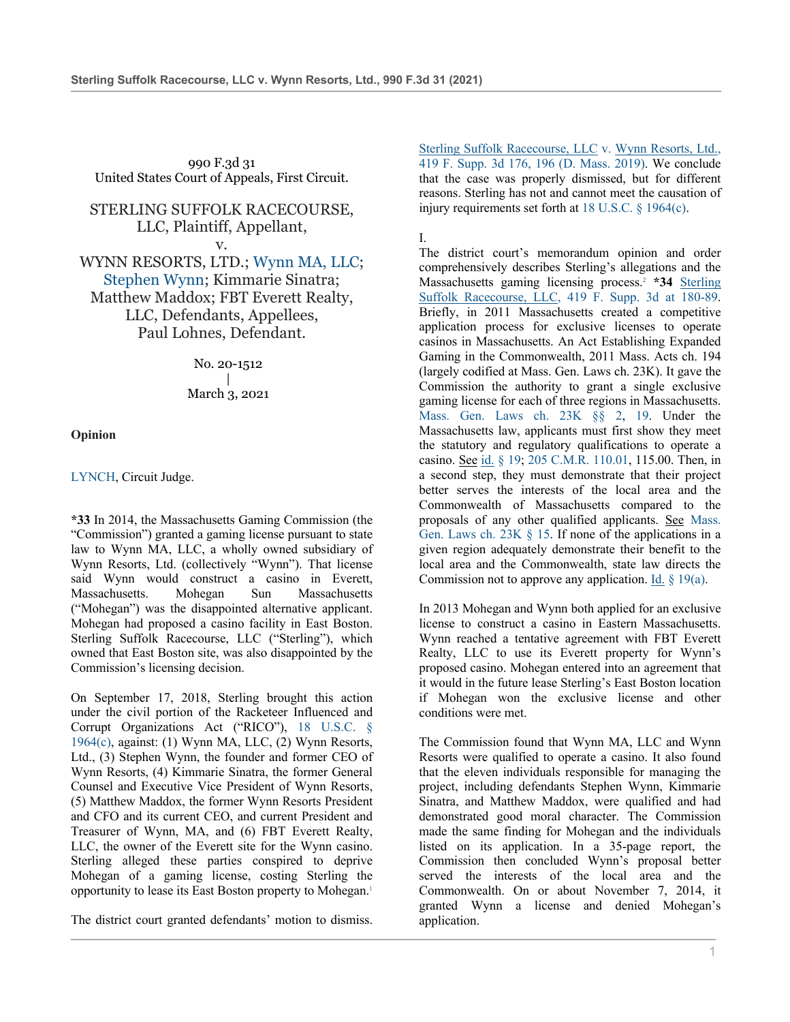990 F.3d 31 United States Court of Appeals, First Circuit.

STERLING SUFFOLK RACECOURSE, LLC, Plaintiff, Appellant,

v. WYNN RESORTS, LTD.; Wynn MA, LLC; Stephen Wynn; Kimmarie Sinatra; Matthew Maddox; FBT Everett Realty, LLC, Defendants, Appellees, Paul Lohnes, Defendant.

> No. 20-1512 | March 3, 2021

**Opinion**

LYNCH, Circuit Judge.

**\*33** In 2014, the Massachusetts Gaming Commission (the "Commission") granted a gaming license pursuant to state law to Wynn MA, LLC, a wholly owned subsidiary of Wynn Resorts, Ltd. (collectively "Wynn"). That license said Wynn would construct a casino in Everett, Massachusetts. Mohegan Sun Massachusetts ("Mohegan") was the disappointed alternative applicant. Mohegan had proposed a casino facility in East Boston. Sterling Suffolk Racecourse, LLC ("Sterling"), which owned that East Boston site, was also disappointed by the Commission's licensing decision.

On September 17, 2018, Sterling brought this action under the civil portion of the Racketeer Influenced and Corrupt Organizations Act ("RICO"), 18 U.S.C. § 1964(c), against: (1) Wynn MA, LLC, (2) Wynn Resorts, Ltd., (3) Stephen Wynn, the founder and former CEO of Wynn Resorts, (4) Kimmarie Sinatra, the former General Counsel and Executive Vice President of Wynn Resorts, (5) Matthew Maddox, the former Wynn Resorts President and CFO and its current CEO, and current President and Treasurer of Wynn, MA, and (6) FBT Everett Realty, LLC, the owner of the Everett site for the Wynn casino. Sterling alleged these parties conspired to deprive Mohegan of a gaming license, costing Sterling the opportunity to lease its East Boston property to Mohegan.1

The district court granted defendants' motion to dismiss.

Sterling Suffolk Racecourse, LLC v. Wynn Resorts, Ltd., 419 F. Supp. 3d 176, 196 (D. Mass. 2019). We conclude that the case was properly dismissed, but for different reasons. Sterling has not and cannot meet the causation of injury requirements set forth at 18 U.S.C. § 1964(c).

I.

The district court's memorandum opinion and order comprehensively describes Sterling's allegations and the Massachusetts gaming licensing process.2 **\*34** Sterling Suffolk Racecourse, LLC, 419 F. Supp. 3d at 180-89. Briefly, in 2011 Massachusetts created a competitive application process for exclusive licenses to operate casinos in Massachusetts. An Act Establishing Expanded Gaming in the Commonwealth, 2011 Mass. Acts ch. 194 (largely codified at Mass. Gen. Laws ch. 23K). It gave the Commission the authority to grant a single exclusive gaming license for each of three regions in Massachusetts. Mass. Gen. Laws ch. 23K §§ 2, 19. Under the Massachusetts law, applicants must first show they meet the statutory and regulatory qualifications to operate a casino. See id. § 19; 205 C.M.R. 110.01, 115.00. Then, in a second step, they must demonstrate that their project better serves the interests of the local area and the Commonwealth of Massachusetts compared to the proposals of any other qualified applicants. See Mass. Gen. Laws ch. 23K § 15. If none of the applications in a given region adequately demonstrate their benefit to the local area and the Commonwealth, state law directs the Commission not to approve any application. Id.  $\S$  19(a).

In 2013 Mohegan and Wynn both applied for an exclusive license to construct a casino in Eastern Massachusetts. Wynn reached a tentative agreement with FBT Everett Realty, LLC to use its Everett property for Wynn's proposed casino. Mohegan entered into an agreement that it would in the future lease Sterling's East Boston location if Mohegan won the exclusive license and other conditions were met.

The Commission found that Wynn MA, LLC and Wynn Resorts were qualified to operate a casino. It also found that the eleven individuals responsible for managing the project, including defendants Stephen Wynn, Kimmarie Sinatra, and Matthew Maddox, were qualified and had demonstrated good moral character. The Commission made the same finding for Mohegan and the individuals listed on its application. In a 35-page report, the Commission then concluded Wynn's proposal better served the interests of the local area and the Commonwealth. On or about November 7, 2014, it granted Wynn a license and denied Mohegan's application.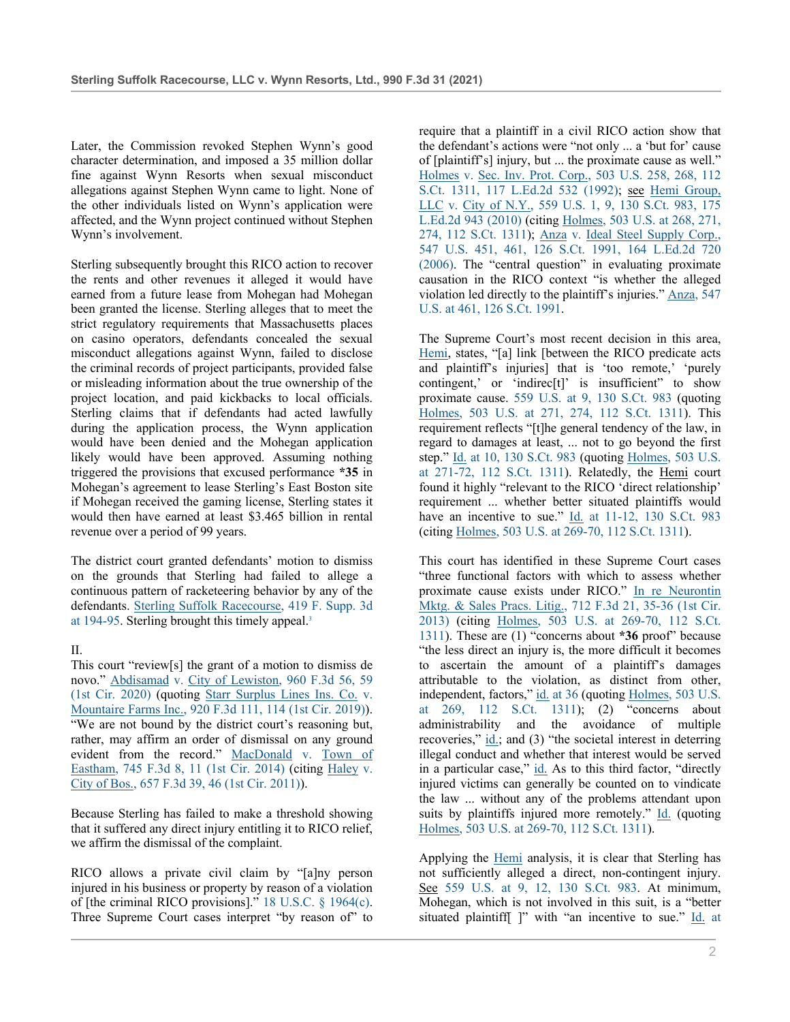Later, the Commission revoked Stephen Wynn's good character determination, and imposed a 35 million dollar fine against Wynn Resorts when sexual misconduct allegations against Stephen Wynn came to light. None of the other individuals listed on Wynn's application were affected, and the Wynn project continued without Stephen Wynn's involvement.

Sterling subsequently brought this RICO action to recover the rents and other revenues it alleged it would have earned from a future lease from Mohegan had Mohegan been granted the license. Sterling alleges that to meet the strict regulatory requirements that Massachusetts places on casino operators, defendants concealed the sexual misconduct allegations against Wynn, failed to disclose the criminal records of project participants, provided false or misleading information about the true ownership of the project location, and paid kickbacks to local officials. Sterling claims that if defendants had acted lawfully during the application process, the Wynn application would have been denied and the Mohegan application likely would have been approved. Assuming nothing triggered the provisions that excused performance **\*35** in Mohegan's agreement to lease Sterling's East Boston site if Mohegan received the gaming license, Sterling states it would then have earned at least \$3.465 billion in rental revenue over a period of 99 years.

The district court granted defendants' motion to dismiss on the grounds that Sterling had failed to allege a continuous pattern of racketeering behavior by any of the defendants. Sterling Suffolk Racecourse, 419 F. Supp. 3d at 194-95. Sterling brought this timely appeal.<sup>3</sup>

## II.

This court "review[s] the grant of a motion to dismiss de novo." Abdisamad v. City of Lewiston, 960 F.3d 56, 59 (1st Cir. 2020) (quoting Starr Surplus Lines Ins. Co. v. Mountaire Farms Inc., 920 F.3d 111, 114 (1st Cir. 2019)). "We are not bound by the district court's reasoning but, rather, may affirm an order of dismissal on any ground evident from the record." MacDonald v. Town of Eastham, 745 F.3d 8, 11 (1st Cir. 2014) (citing Haley v. City of Bos., 657 F.3d 39, 46 (1st Cir. 2011)).

Because Sterling has failed to make a threshold showing that it suffered any direct injury entitling it to RICO relief, we affirm the dismissal of the complaint.

RICO allows a private civil claim by "[a]ny person injured in his business or property by reason of a violation of [the criminal RICO provisions]." 18 U.S.C. § 1964(c). Three Supreme Court cases interpret "by reason of" to

require that a plaintiff in a civil RICO action show that the defendant's actions were "not only ... a 'but for' cause of [plaintiff's] injury, but ... the proximate cause as well." Holmes v. Sec. Inv. Prot. Corp., 503 U.S. 258, 268, 112 S.Ct. 1311, 117 L.Ed.2d 532 (1992); see Hemi Group, LLC v. City of N.Y., 559 U.S. 1, 9, 130 S.Ct. 983, 175 L.Ed.2d 943 (2010) (citing Holmes, 503 U.S. at 268, 271, 274, 112 S.Ct. 1311); Anza v. Ideal Steel Supply Corp., 547 U.S. 451, 461, 126 S.Ct. 1991, 164 L.Ed.2d 720 (2006). The "central question" in evaluating proximate causation in the RICO context "is whether the alleged violation led directly to the plaintiff's injuries." Anza, 547 U.S. at 461, 126 S.Ct. 1991.

The Supreme Court's most recent decision in this area, Hemi, states, "[a] link [between the RICO predicate acts and plaintiff's injuries] that is 'too remote,' 'purely contingent,' or 'indirec[t]' is insufficient" to show proximate cause. 559 U.S. at 9, 130 S.Ct. 983 (quoting Holmes, 503 U.S. at 271, 274, 112 S.Ct. 1311). This requirement reflects "[t]he general tendency of the law, in regard to damages at least, ... not to go beyond the first step." Id. at 10, 130 S.Ct. 983 (quoting Holmes, 503 U.S. at 271-72, 112 S.Ct. 1311). Relatedly, the Hemi court found it highly "relevant to the RICO 'direct relationship' requirement ... whether better situated plaintiffs would have an incentive to sue."  $\underline{Id}$ . at 11-12, 130 S.Ct. 983 (citing Holmes, 503 U.S. at 269-70, 112 S.Ct. 1311).

This court has identified in these Supreme Court cases "three functional factors with which to assess whether proximate cause exists under RICO." In re Neurontin Mktg. & Sales Pracs. Litig., 712 F.3d 21, 35-36 (1st Cir. 2013) (citing Holmes, 503 U.S. at 269-70, 112 S.Ct. 1311). These are (1) "concerns about **\*36** proof" because "the less direct an injury is, the more difficult it becomes to ascertain the amount of a plaintiff's damages attributable to the violation, as distinct from other, independent, factors," id. at 36 (quoting Holmes, 503 U.S. at 269, 112 S.Ct. 1311); (2) "concerns about administrability and the avoidance of multiple recoveries," id.; and (3) "the societal interest in deterring illegal conduct and whether that interest would be served in a particular case," id. As to this third factor, "directly injured victims can generally be counted on to vindicate the law ... without any of the problems attendant upon suits by plaintiffs injured more remotely." Id. (quoting Holmes, 503 U.S. at 269-70, 112 S.Ct. 1311).

Applying the Hemi analysis, it is clear that Sterling has not sufficiently alleged a direct, non-contingent injury. See 559 U.S. at 9, 12, 130 S.Ct. 983. At minimum, Mohegan, which is not involved in this suit, is a "better situated plaintiff[ ]" with "an incentive to sue." Id. at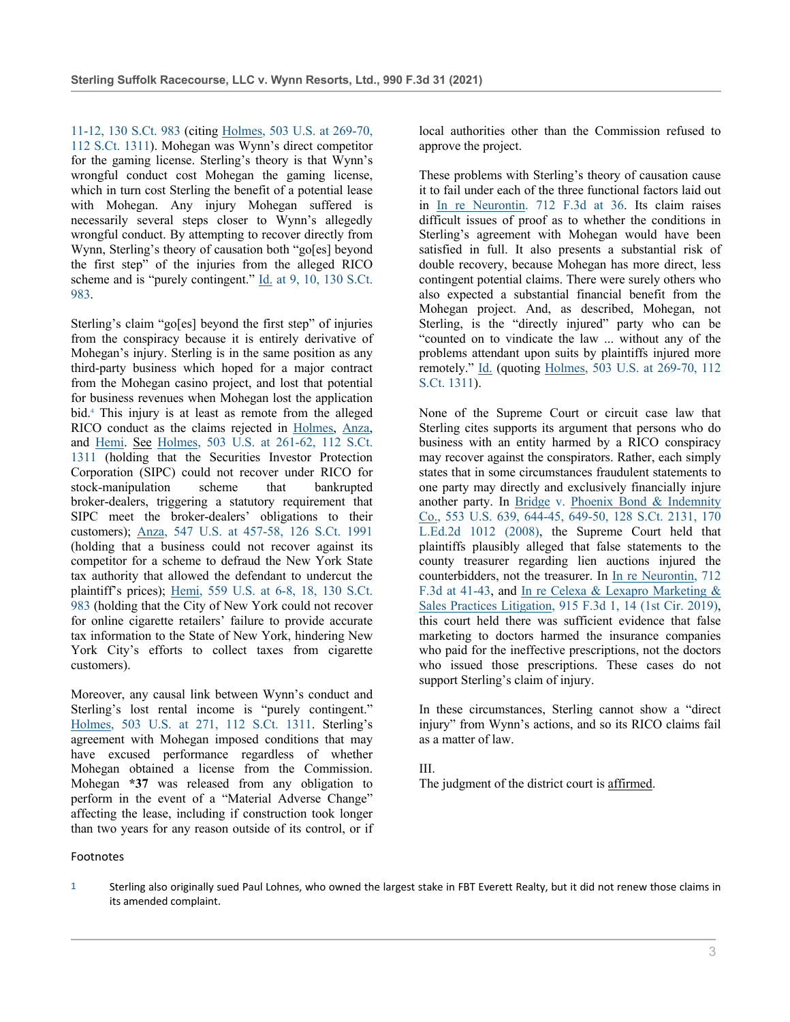11-12, 130 S.Ct. 983 (citing Holmes, 503 U.S. at 269-70, 112 S.Ct. 1311). Mohegan was Wynn's direct competitor for the gaming license. Sterling's theory is that Wynn's wrongful conduct cost Mohegan the gaming license, which in turn cost Sterling the benefit of a potential lease with Mohegan. Any injury Mohegan suffered is necessarily several steps closer to Wynn's allegedly wrongful conduct. By attempting to recover directly from Wynn, Sterling's theory of causation both "go[es] beyond the first step" of the injuries from the alleged RICO scheme and is "purely contingent." Id. at 9, 10, 130 S.Ct. 983.

Sterling's claim "go[es] beyond the first step" of injuries from the conspiracy because it is entirely derivative of Mohegan's injury. Sterling is in the same position as any third-party business which hoped for a major contract from the Mohegan casino project, and lost that potential for business revenues when Mohegan lost the application bid.4 This injury is at least as remote from the alleged RICO conduct as the claims rejected in Holmes, Anza, and Hemi. See Holmes, 503 U.S. at 261-62, 112 S.Ct. 1311 (holding that the Securities Investor Protection Corporation (SIPC) could not recover under RICO for stock-manipulation scheme that bankrupted broker-dealers, triggering a statutory requirement that SIPC meet the broker-dealers' obligations to their customers); Anza, 547 U.S. at 457-58, 126 S.Ct. 1991 (holding that a business could not recover against its competitor for a scheme to defraud the New York State tax authority that allowed the defendant to undercut the plaintiff's prices); Hemi, 559 U.S. at 6-8, 18, 130 S.Ct. 983 (holding that the City of New York could not recover for online cigarette retailers' failure to provide accurate tax information to the State of New York, hindering New York City's efforts to collect taxes from cigarette customers).

Moreover, any causal link between Wynn's conduct and Sterling's lost rental income is "purely contingent." Holmes, 503 U.S. at 271, 112 S.Ct. 1311. Sterling's agreement with Mohegan imposed conditions that may have excused performance regardless of whether Mohegan obtained a license from the Commission. Mohegan **\*37** was released from any obligation to perform in the event of a "Material Adverse Change" affecting the lease, including if construction took longer than two years for any reason outside of its control, or if local authorities other than the Commission refused to approve the project.

These problems with Sterling's theory of causation cause it to fail under each of the three functional factors laid out in In re Neurontin. 712 F.3d at 36. Its claim raises difficult issues of proof as to whether the conditions in Sterling's agreement with Mohegan would have been satisfied in full. It also presents a substantial risk of double recovery, because Mohegan has more direct, less contingent potential claims. There were surely others who also expected a substantial financial benefit from the Mohegan project. And, as described, Mohegan, not Sterling, is the "directly injured" party who can be "counted on to vindicate the law ... without any of the problems attendant upon suits by plaintiffs injured more remotely." Id. (quoting Holmes, 503 U.S. at 269-70, 112 S.Ct. 1311).

None of the Supreme Court or circuit case law that Sterling cites supports its argument that persons who do business with an entity harmed by a RICO conspiracy may recover against the conspirators. Rather, each simply states that in some circumstances fraudulent statements to one party may directly and exclusively financially injure another party. In Bridge v. Phoenix Bond & Indemnity Co., 553 U.S. 639, 644-45, 649-50, 128 S.Ct. 2131, 170 L.Ed.2d 1012 (2008), the Supreme Court held that plaintiffs plausibly alleged that false statements to the county treasurer regarding lien auctions injured the counterbidders, not the treasurer. In In re Neurontin, 712 F.3d at 41-43, and In re Celexa & Lexapro Marketing & Sales Practices Litigation, 915 F.3d 1, 14 (1st Cir. 2019), this court held there was sufficient evidence that false marketing to doctors harmed the insurance companies who paid for the ineffective prescriptions, not the doctors who issued those prescriptions. These cases do not support Sterling's claim of injury.

In these circumstances, Sterling cannot show a "direct injury" from Wynn's actions, and so its RICO claims fail as a matter of law.

III.

The judgment of the district court is affirmed.

Footnotes

<sup>1</sup> Sterling also originally sued Paul Lohnes, who owned the largest stake in FBT Everett Realty, but it did not renew those claims in its amended complaint.